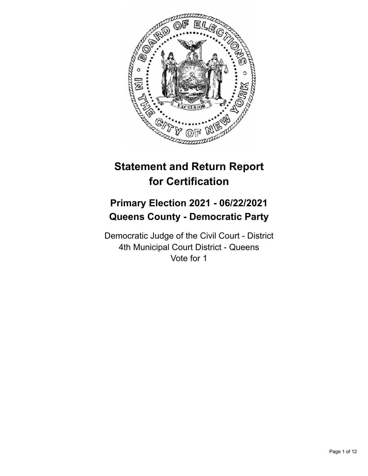

# **Statement and Return Report for Certification**

## **Primary Election 2021 - 06/22/2021 Queens County - Democratic Party**

Democratic Judge of the Civil Court - District 4th Municipal Court District - Queens Vote for 1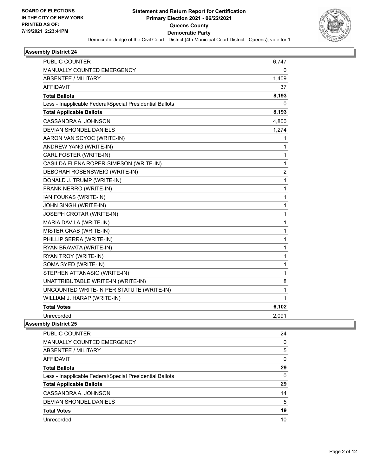

| <b>PUBLIC COUNTER</b>                                    | 6,747        |
|----------------------------------------------------------|--------------|
| MANUALLY COUNTED EMERGENCY                               | 0            |
| ABSENTEE / MILITARY                                      | 1,409        |
| <b>AFFIDAVIT</b>                                         | 37           |
| <b>Total Ballots</b>                                     | 8,193        |
| Less - Inapplicable Federal/Special Presidential Ballots | 0            |
| <b>Total Applicable Ballots</b>                          | 8,193        |
| CASSANDRA A. JOHNSON                                     | 4,800        |
| <b>DEVIAN SHONDEL DANIELS</b>                            | 1,274        |
| AARON VAN SCYOC (WRITE-IN)                               | 1            |
| ANDREW YANG (WRITE-IN)                                   | 1            |
| CARL FOSTER (WRITE-IN)                                   | 1            |
| CASILDA ELENA ROPER-SIMPSON (WRITE-IN)                   | $\mathbf{1}$ |
| DEBORAH ROSENSWEIG (WRITE-IN)                            | 2            |
| DONALD J. TRUMP (WRITE-IN)                               | 1            |
| FRANK NERRO (WRITE-IN)                                   | $\mathbf{1}$ |
| IAN FOUKAS (WRITE-IN)                                    | 1            |
| JOHN SINGH (WRITE-IN)                                    | 1            |
| JOSEPH CROTAR (WRITE-IN)                                 | 1            |
| MARIA DAVILA (WRITE-IN)                                  | 1            |
| MISTER CRAB (WRITE-IN)                                   | $\mathbf{1}$ |
| PHILLIP SERRA (WRITE-IN)                                 | 1            |
| RYAN BRAVATA (WRITE-IN)                                  | 1            |
| RYAN TROY (WRITE-IN)                                     | 1            |
| SOMA SYED (WRITE-IN)                                     | 1            |
| STEPHEN ATTANASIO (WRITE-IN)                             | $\mathbf{1}$ |
| UNATTRIBUTABLE WRITE-IN (WRITE-IN)                       | 8            |
| UNCOUNTED WRITE-IN PER STATUTE (WRITE-IN)                | $\mathbf{1}$ |
| WILLIAM J. HARAP (WRITE-IN)                              | 1            |
| <b>Total Votes</b>                                       | 6,102        |
| Unrecorded                                               | 2,091        |

| PUBLIC COUNTER                                           | 24       |
|----------------------------------------------------------|----------|
| <b>MANUALLY COUNTED EMERGENCY</b>                        | 0        |
| ABSENTEE / MILITARY                                      | 5        |
| AFFIDAVIT                                                | 0        |
| <b>Total Ballots</b>                                     | 29       |
| Less - Inapplicable Federal/Special Presidential Ballots | $\Omega$ |
| <b>Total Applicable Ballots</b>                          | 29       |
| CASSANDRA A. JOHNSON                                     | 14       |
| DEVIAN SHONDEL DANIELS                                   | 5        |
| <b>Total Votes</b>                                       | 19       |
| Unrecorded                                               | 10       |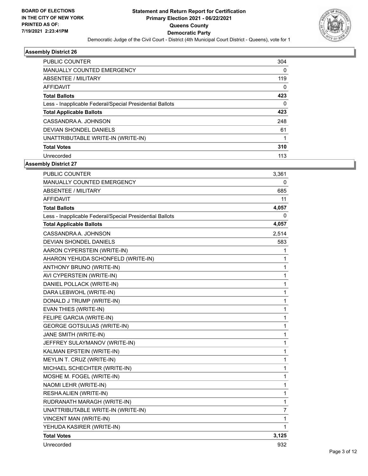

| PUBLIC COUNTER                                           | 304 |
|----------------------------------------------------------|-----|
| <b>MANUALLY COUNTED EMERGENCY</b>                        | 0   |
| ABSENTEE / MILITARY                                      | 119 |
| AFFIDAVIT                                                | 0   |
| <b>Total Ballots</b>                                     | 423 |
| Less - Inapplicable Federal/Special Presidential Ballots | 0   |
| <b>Total Applicable Ballots</b>                          | 423 |
| CASSANDRA A. JOHNSON                                     | 248 |
| DEVIAN SHONDEL DANIELS                                   | 61  |
| UNATTRIBUTABLE WRITE-IN (WRITE-IN)                       |     |
| <b>Total Votes</b>                                       | 310 |
| Unrecorded                                               | 113 |

| PUBLIC COUNTER                                           | 3,361          |
|----------------------------------------------------------|----------------|
| <b>MANUALLY COUNTED EMERGENCY</b>                        | 0              |
| <b>ABSENTEE / MILITARY</b>                               | 685            |
| <b>AFFIDAVIT</b>                                         | 11             |
| <b>Total Ballots</b>                                     | 4,057          |
| Less - Inapplicable Federal/Special Presidential Ballots | 0              |
| <b>Total Applicable Ballots</b>                          | 4,057          |
| CASSANDRA A. JOHNSON                                     | 2,514          |
| DEVIAN SHONDEL DANIELS                                   | 583            |
| AARON CYPERSTEIN (WRITE-IN)                              | 1              |
| AHARON YEHUDA SCHONFELD (WRITE-IN)                       | 1              |
| ANTHONY BRUNO (WRITE-IN)                                 | $\mathbf{1}$   |
| AVI CYPERSTEIN (WRITE-IN)                                | 1              |
| DANIEL POLLACK (WRITE-IN)                                | 1              |
| DARA LEBWOHL (WRITE-IN)                                  | 1              |
| DONALD J TRUMP (WRITE-IN)                                | 1              |
| EVAN THIES (WRITE-IN)                                    | 1              |
| FELIPE GARCIA (WRITE-IN)                                 | $\mathbf{1}$   |
| <b>GEORGE GOTSULIAS (WRITE-IN)</b>                       | 1              |
| JANE SMITH (WRITE-IN)                                    | $\mathbf{1}$   |
| JEFFREY SULAYMANOV (WRITE-IN)                            | $\mathbf 1$    |
| KALMAN EPSTEIN (WRITE-IN)                                | 1              |
| MEYLIN T. CRUZ (WRITE-IN)                                | $\mathbf 1$    |
| MICHAEL SCHECHTER (WRITE-IN)                             | $\mathbf{1}$   |
| MOSHE M. FOGEL (WRITE-IN)                                | $\mathbf{1}$   |
| NAOMI LEHR (WRITE-IN)                                    | $\mathbf 1$    |
| RESHA ALIEN (WRITE-IN)                                   | $\mathbf 1$    |
| RUDRANATH MARAGH (WRITE-IN)                              | $\mathbf{1}$   |
| UNATTRIBUTABLE WRITE-IN (WRITE-IN)                       | $\overline{7}$ |
| VINCENT MAN (WRITE-IN)                                   | 1              |
| YEHUDA KASIRER (WRITE-IN)                                | 1              |
| <b>Total Votes</b>                                       | 3,125          |
| Unrecorded                                               | 932            |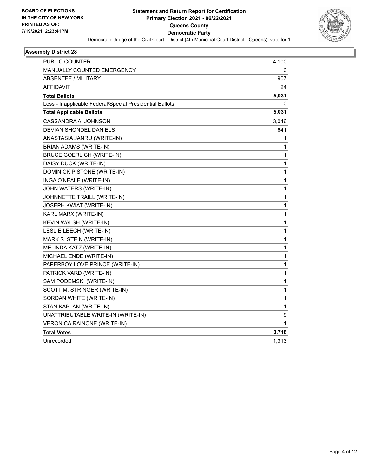

| PUBLIC COUNTER                                           | 4,100        |
|----------------------------------------------------------|--------------|
| <b>MANUALLY COUNTED EMERGENCY</b>                        | 0            |
| <b>ABSENTEE / MILITARY</b>                               | 907          |
| <b>AFFIDAVIT</b>                                         | 24           |
| <b>Total Ballots</b>                                     | 5,031        |
| Less - Inapplicable Federal/Special Presidential Ballots | 0            |
| <b>Total Applicable Ballots</b>                          | 5,031        |
| CASSANDRA A. JOHNSON                                     | 3,046        |
| <b>DEVIAN SHONDEL DANIELS</b>                            | 641          |
| ANASTASIA JANRU (WRITE-IN)                               | 1            |
| BRIAN ADAMS (WRITE-IN)                                   | 1            |
| <b>BRUCE GOERLICH (WRITE-IN)</b>                         | 1            |
| DAISY DUCK (WRITE-IN)                                    | 1            |
| DOMINICK PISTONE (WRITE-IN)                              | 1            |
| INGA O'NEALE (WRITE-IN)                                  | $\mathbf{1}$ |
| JOHN WATERS (WRITE-IN)                                   | 1            |
| JOHNNETTE TRAILL (WRITE-IN)                              | 1            |
| <b>JOSEPH KWIAT (WRITE-IN)</b>                           | 1            |
| KARL MARX (WRITE-IN)                                     | 1            |
| KEVIN WALSH (WRITE-IN)                                   | 1            |
| LESLIE LEECH (WRITE-IN)                                  | 1            |
| MARK S. STEIN (WRITE-IN)                                 | 1            |
| MELINDA KATZ (WRITE-IN)                                  | 1            |
| MICHAEL ENDE (WRITE-IN)                                  | 1            |
| PAPERBOY LOVE PRINCE (WRITE-IN)                          | 1            |
| PATRICK VARD (WRITE-IN)                                  | 1            |
| SAM PODEMSKI (WRITE-IN)                                  | 1            |
| SCOTT M. STRINGER (WRITE-IN)                             | 1            |
| SORDAN WHITE (WRITE-IN)                                  | 1            |
| STAN KAPLAN (WRITE-IN)                                   | 1            |
| UNATTRIBUTABLE WRITE-IN (WRITE-IN)                       | 9            |
| VERONICA RAINONE (WRITE-IN)                              | 1            |
| <b>Total Votes</b>                                       | 3,718        |
| Unrecorded                                               | 1,313        |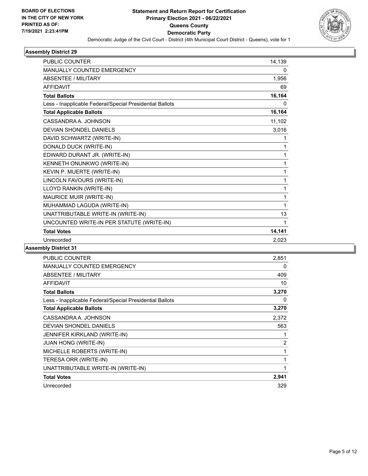

| <b>PUBLIC COUNTER</b>                                    | 14,139 |
|----------------------------------------------------------|--------|
| <b>MANUALLY COUNTED EMERGENCY</b>                        | 0      |
| <b>ABSENTEE / MILITARY</b>                               | 1,956  |
| <b>AFFIDAVIT</b>                                         | 69     |
| <b>Total Ballots</b>                                     | 16,164 |
| Less - Inapplicable Federal/Special Presidential Ballots | 0      |
| <b>Total Applicable Ballots</b>                          | 16,164 |
| CASSANDRA A. JOHNSON                                     | 11,102 |
| DEVIAN SHONDEL DANIELS                                   | 3,016  |
| DAVID SCHWARTZ (WRITE-IN)                                | 1      |
| DONALD DUCK (WRITE-IN)                                   | 1      |
| EDWARD DURANT JR. (WRITE-IN)                             | 1      |
| KENNETH ONUNKWO (WRITE-IN)                               | 1      |
| KEVIN P. MUERTE (WRITE-IN)                               | 1      |
| LINCOLN FAVOURS (WRITE-IN)                               | 1      |
| LLOYD RANKIN (WRITE-IN)                                  | 1      |
| MAURICE MUIR (WRITE-IN)                                  | 1      |
| MUHAMMAD LAGUDA (WRITE-IN)                               | 1      |
| UNATTRIBUTABLE WRITE-IN (WRITE-IN)                       | 13     |
| UNCOUNTED WRITE-IN PER STATUTE (WRITE-IN)                | 1      |
| <b>Total Votes</b>                                       | 14,141 |
| Unrecorded                                               | 2,023  |
| <b>Lite District Od</b>                                  |        |

| <b>PUBLIC COUNTER</b>                                    | 2,851 |
|----------------------------------------------------------|-------|
| <b>MANUALLY COUNTED EMERGENCY</b>                        | 0     |
| ABSENTEE / MILITARY                                      | 409   |
| <b>AFFIDAVIT</b>                                         | 10    |
| <b>Total Ballots</b>                                     | 3,270 |
| Less - Inapplicable Federal/Special Presidential Ballots | 0     |
| <b>Total Applicable Ballots</b>                          | 3,270 |
| CASSANDRA A. JOHNSON                                     | 2,372 |
| <b>DEVIAN SHONDEL DANIELS</b>                            | 563   |
| JENNIFER KIRKLAND (WRITE-IN)                             | 1     |
| <b>JUAN HONG (WRITE-IN)</b>                              | 2     |
| MICHELLE ROBERTS (WRITE-IN)                              | 1     |
| TERESA ORR (WRITE-IN)                                    | 1     |
| UNATTRIBUTABLE WRITE-IN (WRITE-IN)                       | 1     |
| <b>Total Votes</b>                                       | 2,941 |
| Unrecorded                                               | 329   |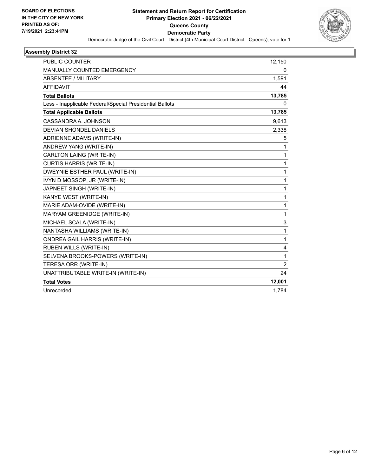

| <b>PUBLIC COUNTER</b>                                    | 12,150         |
|----------------------------------------------------------|----------------|
| MANUALLY COUNTED EMERGENCY                               | $\mathbf{0}$   |
| <b>ABSENTEE / MILITARY</b>                               | 1,591          |
| <b>AFFIDAVIT</b>                                         | 44             |
| <b>Total Ballots</b>                                     | 13,785         |
| Less - Inapplicable Federal/Special Presidential Ballots | $\mathbf{0}$   |
| <b>Total Applicable Ballots</b>                          | 13,785         |
| CASSANDRA A. JOHNSON                                     | 9,613          |
| <b>DEVIAN SHONDEL DANIELS</b>                            | 2,338          |
| ADRIENNE ADAMS (WRITE-IN)                                | 5              |
| ANDREW YANG (WRITE-IN)                                   | 1              |
| CARLTON LAING (WRITE-IN)                                 | 1              |
| <b>CURTIS HARRIS (WRITE-IN)</b>                          | 1              |
| DWEYNIE ESTHER PAUL (WRITE-IN)                           | 1              |
| IVYN D MOSSOP, JR (WRITE-IN)                             | 1              |
| JAPNEET SINGH (WRITE-IN)                                 | 1              |
| KANYE WEST (WRITE-IN)                                    | 1              |
| MARIE ADAM-OVIDE (WRITE-IN)                              | 1              |
| MARYAM GREENIDGE (WRITE-IN)                              | 1              |
| MICHAEL SCALA (WRITE-IN)                                 | 3              |
| NANTASHA WILLIAMS (WRITE-IN)                             | 1              |
| ONDREA GAIL HARRIS (WRITE-IN)                            | $\mathbf{1}$   |
| <b>RUBEN WILLS (WRITE-IN)</b>                            | 4              |
| SELVENA BROOKS-POWERS (WRITE-IN)                         | 1              |
| TERESA ORR (WRITE-IN)                                    | $\overline{2}$ |
| UNATTRIBUTABLE WRITE-IN (WRITE-IN)                       | 24             |
| <b>Total Votes</b>                                       | 12,001         |
| Unrecorded                                               | 1,784          |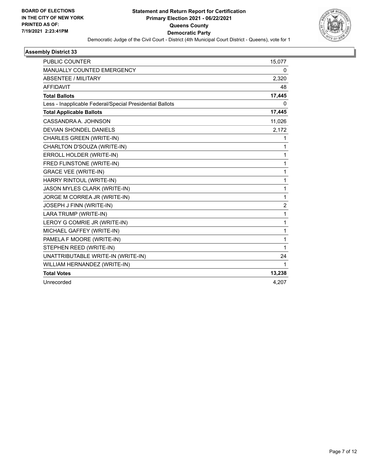

| <b>PUBLIC COUNTER</b>                                    | 15,077         |
|----------------------------------------------------------|----------------|
| <b>MANUALLY COUNTED EMERGENCY</b>                        | 0              |
| <b>ABSENTEE / MILITARY</b>                               | 2,320          |
| <b>AFFIDAVIT</b>                                         | 48             |
| <b>Total Ballots</b>                                     | 17,445         |
| Less - Inapplicable Federal/Special Presidential Ballots | 0              |
| <b>Total Applicable Ballots</b>                          | 17,445         |
| CASSANDRA A. JOHNSON                                     | 11,026         |
| <b>DEVIAN SHONDEL DANIELS</b>                            | 2,172          |
| <b>CHARLES GREEN (WRITE-IN)</b>                          | 1              |
| CHARLTON D'SOUZA (WRITE-IN)                              | 1              |
| ERROLL HOLDER (WRITE-IN)                                 | 1              |
| FRED FLINSTONE (WRITE-IN)                                | 1              |
| <b>GRACE VEE (WRITE-IN)</b>                              | 1              |
| HARRY RINTOUL (WRITE-IN)                                 | 1              |
| JASON MYLES CLARK (WRITE-IN)                             | 1              |
| JORGE M CORREA JR (WRITE-IN)                             | 1              |
| JOSEPH J FINN (WRITE-IN)                                 | $\overline{c}$ |
| LARA TRUMP (WRITE-IN)                                    | 1              |
| LEROY G COMRIE JR (WRITE-IN)                             | 1              |
| MICHAEL GAFFEY (WRITE-IN)                                | 1              |
| PAMELA F MOORE (WRITE-IN)                                | 1              |
| STEPHEN REED (WRITE-IN)                                  | 1              |
| UNATTRIBUTABLE WRITE-IN (WRITE-IN)                       | 24             |
| WILLIAM HERNANDEZ (WRITE-IN)                             | 1              |
| <b>Total Votes</b>                                       | 13,238         |
| Unrecorded                                               | 4.207          |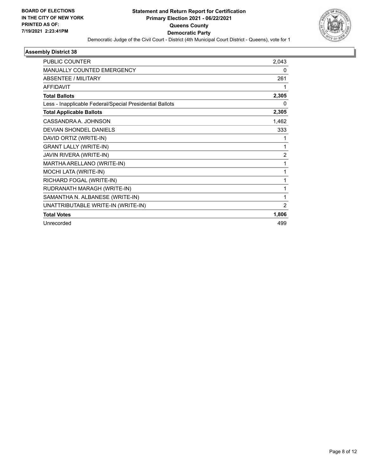

| PUBLIC COUNTER                                           | 2,043          |
|----------------------------------------------------------|----------------|
| <b>MANUALLY COUNTED EMERGENCY</b>                        | 0              |
| <b>ABSENTEE / MILITARY</b>                               | 261            |
| <b>AFFIDAVIT</b>                                         | 1              |
| <b>Total Ballots</b>                                     | 2,305          |
| Less - Inapplicable Federal/Special Presidential Ballots | $\Omega$       |
| <b>Total Applicable Ballots</b>                          | 2,305          |
| CASSANDRA A. JOHNSON                                     | 1,462          |
| <b>DEVIAN SHONDEL DANIELS</b>                            | 333            |
| DAVID ORTIZ (WRITE-IN)                                   | 1              |
| <b>GRANT LALLY (WRITE-IN)</b>                            | 1              |
| JAVIN RIVERA (WRITE-IN)                                  | $\overline{2}$ |
| MARTHA ARELLANO (WRITE-IN)                               | 1              |
| MOCHI LATA (WRITE-IN)                                    | 1              |
| RICHARD FOGAL (WRITE-IN)                                 | 1              |
| RUDRANATH MARAGH (WRITE-IN)                              | 1              |
| SAMANTHA N. ALBANESE (WRITE-IN)                          | 1              |
| UNATTRIBUTABLE WRITE-IN (WRITE-IN)                       | $\overline{2}$ |
| <b>Total Votes</b>                                       | 1,806          |
| Unrecorded                                               | 499            |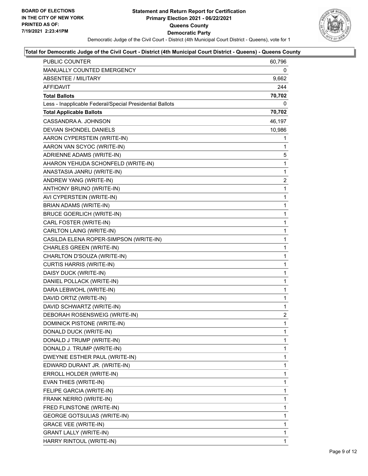

## **Total for Democratic Judge of the Civil Court - District (4th Municipal Court District - Queens) - Queens County**

| PUBLIC COUNTER                                           | 60,796 |
|----------------------------------------------------------|--------|
| MANUALLY COUNTED EMERGENCY                               | 0      |
| <b>ABSENTEE / MILITARY</b>                               | 9,662  |
| AFFIDAVIT                                                | 244    |
| <b>Total Ballots</b>                                     | 70,702 |
| Less - Inapplicable Federal/Special Presidential Ballots | 0      |
| <b>Total Applicable Ballots</b>                          | 70,702 |
| CASSANDRA A. JOHNSON                                     | 46,197 |
| <b>DEVIAN SHONDEL DANIELS</b>                            | 10,986 |
| AARON CYPERSTEIN (WRITE-IN)                              | 1      |
| AARON VAN SCYOC (WRITE-IN)                               | 1      |
| ADRIENNE ADAMS (WRITE-IN)                                | 5.     |
| AHARON YEHUDA SCHONFELD (WRITE-IN)                       | 1      |
| ANASTASIA JANRU (WRITE-IN)                               | 1      |
| ANDREW YANG (WRITE-IN)                                   | 2      |
| ANTHONY BRUNO (WRITE-IN)                                 | 1      |
| AVI CYPERSTEIN (WRITE-IN)                                | 1      |
| <b>BRIAN ADAMS (WRITE-IN)</b>                            | 1      |
| <b>BRUCE GOERLICH (WRITE-IN)</b>                         | 1      |
| CARL FOSTER (WRITE-IN)                                   | 1      |
| CARLTON LAING (WRITE-IN)                                 | 1      |
| CASILDA ELENA ROPER-SIMPSON (WRITE-IN)                   | 1      |
| CHARLES GREEN (WRITE-IN)                                 | 1      |
| CHARLTON D'SOUZA (WRITE-IN)                              | 1      |
| <b>CURTIS HARRIS (WRITE-IN)</b>                          | 1      |
| DAISY DUCK (WRITE-IN)                                    | 1      |
| DANIEL POLLACK (WRITE-IN)                                | 1      |
| DARA LEBWOHL (WRITE-IN)                                  | 1      |
| DAVID ORTIZ (WRITE-IN)                                   | 1      |
| DAVID SCHWARTZ (WRITE-IN)                                | 1      |
| DEBORAH ROSENSWEIG (WRITE-IN)                            | 2      |
| DOMINICK PISTONE (WRITE-IN)                              | 1      |
| DONALD DUCK (WRITE-IN)                                   | 1      |
| DONALD J TRUMP (WRITE-IN)                                | 1      |
| DONALD J. TRUMP (WRITE-IN)                               | 1      |
| DWEYNIE ESTHER PAUL (WRITE-IN)                           | 1      |
| EDWARD DURANT JR. (WRITE-IN)                             | 1      |
| ERROLL HOLDER (WRITE-IN)                                 | 1      |
| EVAN THIES (WRITE-IN)                                    | 1      |
| FELIPE GARCIA (WRITE-IN)                                 | 1      |
| FRANK NERRO (WRITE-IN)                                   | 1      |
| FRED FLINSTONE (WRITE-IN)                                | 1      |
| GEORGE GOTSULIAS (WRITE-IN)                              | 1      |
| <b>GRACE VEE (WRITE-IN)</b>                              | 1      |
| <b>GRANT LALLY (WRITE-IN)</b>                            | 1      |
| HARRY RINTOUL (WRITE-IN)                                 | 1      |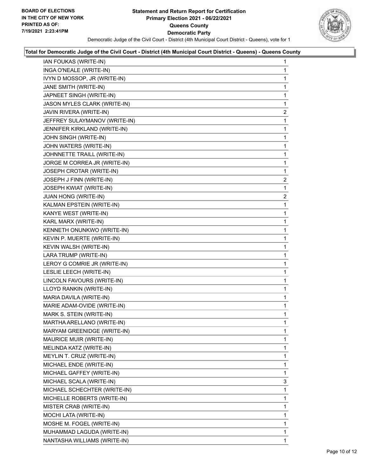

#### **Total for Democratic Judge of the Civil Court - District (4th Municipal Court District - Queens) - Queens County**

| IAN FOUKAS (WRITE-IN)         | $\mathbf{1}$   |
|-------------------------------|----------------|
| INGA O'NEALE (WRITE-IN)       | 1              |
| IVYN D MOSSOP, JR (WRITE-IN)  | 1              |
| JANE SMITH (WRITE-IN)         | 1              |
| JAPNEET SINGH (WRITE-IN)      | 1              |
| JASON MYLES CLARK (WRITE-IN)  | 1              |
| JAVIN RIVERA (WRITE-IN)       | 2              |
| JEFFREY SULAYMANOV (WRITE-IN) | 1              |
| JENNIFER KIRKLAND (WRITE-IN)  | 1              |
| JOHN SINGH (WRITE-IN)         | 1              |
| JOHN WATERS (WRITE-IN)        | 1              |
| JOHNNETTE TRAILL (WRITE-IN)   | 1              |
| JORGE M CORREA JR (WRITE-IN)  | 1              |
| JOSEPH CROTAR (WRITE-IN)      | 1              |
| JOSEPH J FINN (WRITE-IN)      | $\overline{2}$ |
| JOSEPH KWIAT (WRITE-IN)       | 1              |
| JUAN HONG (WRITE-IN)          | $\overline{2}$ |
| KALMAN EPSTEIN (WRITE-IN)     | 1              |
| KANYE WEST (WRITE-IN)         | 1              |
| KARL MARX (WRITE-IN)          | 1              |
| KENNETH ONUNKWO (WRITE-IN)    | 1              |
| KEVIN P. MUERTE (WRITE-IN)    | 1              |
| KEVIN WALSH (WRITE-IN)        | 1              |
| LARA TRUMP (WRITE-IN)         | 1              |
| LEROY G COMRIE JR (WRITE-IN)  | 1              |
| LESLIE LEECH (WRITE-IN)       | 1              |
| LINCOLN FAVOURS (WRITE-IN)    | 1              |
| LLOYD RANKIN (WRITE-IN)       | 1              |
| MARIA DAVILA (WRITE-IN)       | 1              |
| MARIE ADAM-OVIDE (WRITE-IN)   | 1              |
| MARK S. STEIN (WRITE-IN)      | 1              |
| MARTHA ARELLANO (WRITE-IN)    | 1              |
| MARYAM GREENIDGE (WRITE-IN)   | 1              |
| MAURICE MUIR (WRITE-IN)       | 1              |
| MELINDA KATZ (WRITE-IN)       | 1              |
| MEYLIN T. CRUZ (WRITE-IN)     | 1              |
| MICHAEL ENDE (WRITE-IN)       | 1              |
| MICHAEL GAFFEY (WRITE-IN)     | 1              |
| MICHAEL SCALA (WRITE-IN)      | 3              |
| MICHAEL SCHECHTER (WRITE-IN)  | 1              |
| MICHELLE ROBERTS (WRITE-IN)   | 1              |
| MISTER CRAB (WRITE-IN)        | 1              |
| MOCHI LATA (WRITE-IN)         | 1              |
| MOSHE M. FOGEL (WRITE-IN)     | 1              |
| MUHAMMAD LAGUDA (WRITE-IN)    | 1              |
| NANTASHA WILLIAMS (WRITE-IN)  | 1.             |
|                               |                |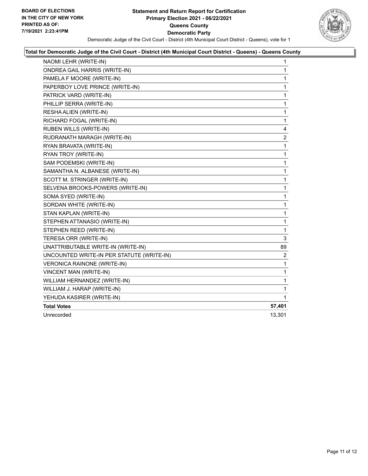

### **Total for Democratic Judge of the Civil Court - District (4th Municipal Court District - Queens) - Queens County**

| NAOMI LEHR (WRITE-IN)                     | 1           |
|-------------------------------------------|-------------|
| <b>ONDREA GAIL HARRIS (WRITE-IN)</b>      | $\mathbf 1$ |
| PAMELA F MOORE (WRITE-IN)                 | 1           |
| PAPERBOY LOVE PRINCE (WRITE-IN)           | 1           |
| PATRICK VARD (WRITE-IN)                   | 1           |
| PHILLIP SERRA (WRITE-IN)                  | 1           |
| RESHA ALIEN (WRITE-IN)                    | 1           |
| RICHARD FOGAL (WRITE-IN)                  | 1           |
| RUBEN WILLS (WRITE-IN)                    | 4           |
| RUDRANATH MARAGH (WRITE-IN)               | 2           |
| RYAN BRAVATA (WRITE-IN)                   | 1           |
| RYAN TROY (WRITE-IN)                      | 1           |
| SAM PODEMSKI (WRITE-IN)                   | 1           |
| SAMANTHA N. ALBANESE (WRITE-IN)           | 1           |
| SCOTT M. STRINGER (WRITE-IN)              | 1           |
| SELVENA BROOKS-POWERS (WRITE-IN)          | 1           |
| SOMA SYED (WRITE-IN)                      | 1           |
| SORDAN WHITE (WRITE-IN)                   | 1           |
| STAN KAPLAN (WRITE-IN)                    | 1           |
| STEPHEN ATTANASIO (WRITE-IN)              | 1           |
| STEPHEN REED (WRITE-IN)                   | 1           |
| TERESA ORR (WRITE-IN)                     | 3           |
| UNATTRIBUTABLE WRITE-IN (WRITE-IN)        | 89          |
| UNCOUNTED WRITE-IN PER STATUTE (WRITE-IN) | 2           |
| VERONICA RAINONE (WRITE-IN)               | 1           |
| VINCENT MAN (WRITE-IN)                    | 1           |
| WILLIAM HERNANDEZ (WRITE-IN)              | 1           |
| WILLIAM J. HARAP (WRITE-IN)               | 1           |
| YEHUDA KASIRER (WRITE-IN)                 | 1           |
| <b>Total Votes</b>                        | 57,401      |
| Unrecorded                                | 13,301      |
|                                           |             |